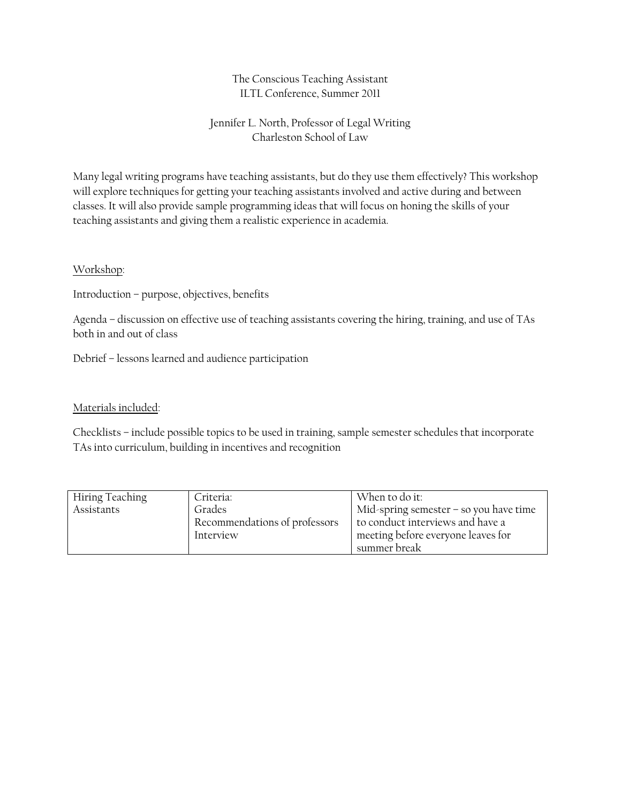## The Conscious Teaching Assistant ILTL Conference, Summer 2011

## Jennifer L. North, Professor of Legal Writing Charleston School of Law

Many legal writing programs have teaching assistants, but do they use them effectively? This workshop will explore techniques for getting your teaching assistants involved and active during and between classes. It will also provide sample programming ideas that will focus on honing the skills of your teaching assistants and giving them a realistic experience in academia.

## Workshop:

Introduction – purpose, objectives, benefits

Agenda – discussion on effective use of teaching assistants covering the hiring, training, and use of TAs both in and out of class

Debrief – lessons learned and audience participation

## Materials included:

Checklists – include possible topics to be used in training, sample semester schedules that incorporate TAs into curriculum, building in incentives and recognition

| Hiring Teaching | Criteria:                     | When to do it:                           |
|-----------------|-------------------------------|------------------------------------------|
| Assistants      | Grades                        | Mid-spring semester $-$ so you have time |
|                 | Recommendations of professors | to conduct interviews and have a         |
|                 | Interview                     | meeting before everyone leaves for       |
|                 |                               | summer break                             |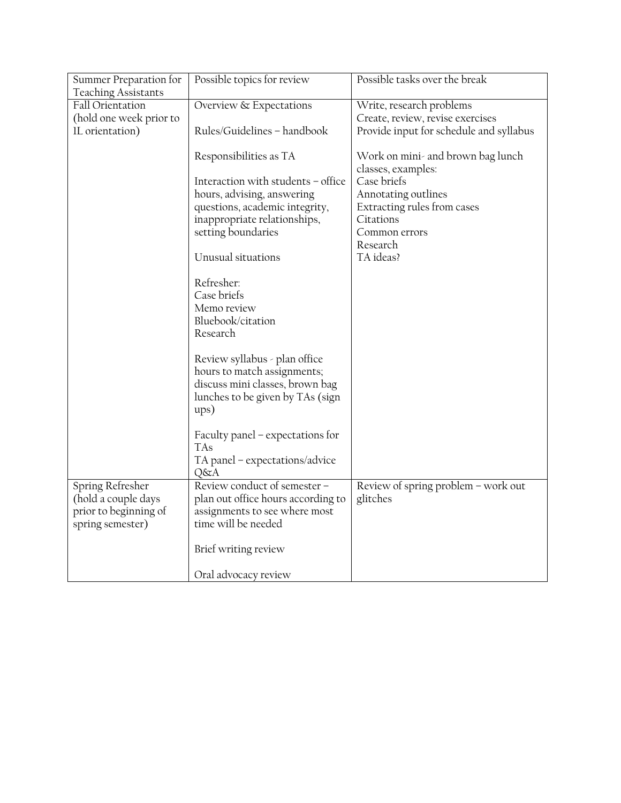| Summer Preparation for                         | Possible topics for review                                          | Possible tasks over the break           |
|------------------------------------------------|---------------------------------------------------------------------|-----------------------------------------|
| <b>Teaching Assistants</b><br>Fall Orientation | Overview & Expectations                                             | Write, research problems                |
| (hold one week prior to                        |                                                                     | Create, review, revise exercises        |
| IL orientation)                                | Rules/Guidelines - handbook                                         | Provide input for schedule and syllabus |
|                                                |                                                                     |                                         |
|                                                | Responsibilities as TA                                              | Work on mini- and brown bag lunch       |
|                                                | Interaction with students - office                                  | classes, examples:<br>Case briefs       |
|                                                | hours, advising, answering                                          | Annotating outlines                     |
|                                                | questions, academic integrity,                                      | Extracting rules from cases             |
|                                                | inappropriate relationships,                                        | Citations                               |
|                                                | setting boundaries                                                  | Common errors                           |
|                                                |                                                                     | Research                                |
|                                                | Unusual situations                                                  | TA ideas?                               |
|                                                | Refresher:                                                          |                                         |
|                                                | Case briefs                                                         |                                         |
|                                                | Memo review                                                         |                                         |
|                                                | Bluebook/citation                                                   |                                         |
|                                                | Research                                                            |                                         |
|                                                | Review syllabus - plan office                                       |                                         |
|                                                | hours to match assignments;                                         |                                         |
|                                                | discuss mini classes, brown bag                                     |                                         |
|                                                | lunches to be given by TAs (sign                                    |                                         |
|                                                | $_{\rm upp}$                                                        |                                         |
|                                                | Faculty panel – expectations for                                    |                                         |
|                                                | <b>TAs</b>                                                          |                                         |
|                                                | TA panel - expectations/advice                                      |                                         |
|                                                | Q&A                                                                 |                                         |
| Spring Refresher<br>(hold a couple days        | Review conduct of semester -                                        | Review of spring problem - work out     |
| prior to beginning of                          | plan out office hours according to<br>assignments to see where most | glitches                                |
| spring semester)                               | time will be needed                                                 |                                         |
|                                                |                                                                     |                                         |
|                                                | Brief writing review                                                |                                         |
|                                                | Oral advocacy review                                                |                                         |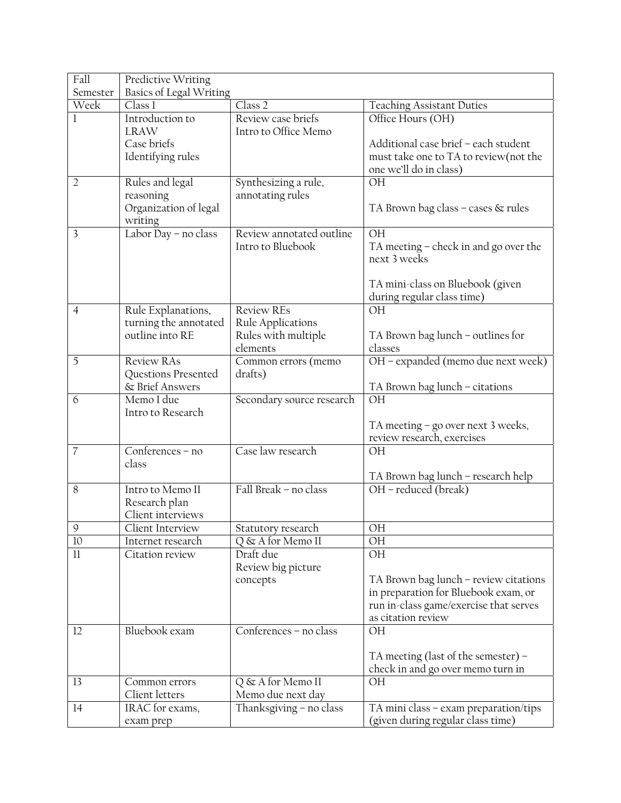| Fall           | Predictive Writing                   |                                |                                                                |
|----------------|--------------------------------------|--------------------------------|----------------------------------------------------------------|
| Semester       | Basics of Legal Writing              |                                |                                                                |
| Week           | Class 1                              | Class 2                        | <b>Teaching Assistant Duties</b>                               |
| 1              | Introduction to                      | Review case briefs             | Office Hours (OH)                                              |
|                | <b>LRAW</b>                          | Intro to Office Memo           |                                                                |
|                | Case briefs                          |                                | Additional case brief - each student                           |
|                | Identifying rules                    |                                | must take one to TA to review (not the                         |
|                |                                      |                                | one we'll do in class)                                         |
| $\overline{2}$ | Rules and legal                      | Synthesizing a rule,           | OH                                                             |
|                | reasoning                            | annotating rules               |                                                                |
|                | Organization of legal                |                                | TA Brown bag class - cases & rules                             |
|                | writing                              |                                |                                                                |
| 3              | Labor Day - no class                 | Review annotated outline       | OH                                                             |
|                |                                      | Intro to Bluebook              | TA meeting – check in and go over the                          |
|                |                                      |                                | next 3 weeks                                                   |
|                |                                      |                                |                                                                |
|                |                                      |                                | TA mini-class on Bluebook (given<br>during regular class time) |
| $\overline{4}$ | Rule Explanations,                   | <b>Review REs</b>              | <b>OH</b>                                                      |
|                | turning the annotated                | Rule Applications              |                                                                |
|                | outline into RE                      | Rules with multiple            | TA Brown bag lunch – outlines for                              |
|                |                                      | elements                       | classes                                                        |
| 5              | <b>Review RAs</b>                    | Common errors (memo            | OH - expanded (memo due next week)                             |
|                | Questions Presented                  | drafts)                        |                                                                |
|                | & Brief Answers                      |                                | TA Brown bag lunch – citations                                 |
| 6              | Memo I due                           | Secondary source research      | OH                                                             |
|                | Intro to Research                    |                                |                                                                |
|                |                                      |                                | TA meeting - go over next 3 weeks,                             |
|                |                                      |                                | review research, exercises                                     |
| $\overline{7}$ | Conferences - no                     | Case law research              | <b>OH</b>                                                      |
|                | class                                |                                |                                                                |
|                |                                      |                                | TA Brown bag lunch - research help                             |
| 8              | Intro to Memo II                     | Fall Break - no class          | $\overline{OH}$ – reduced (break)                              |
|                | Research plan                        |                                |                                                                |
|                | Client interviews                    |                                |                                                                |
| 9<br>10        | Client Interview                     | Statutory research             | OH<br>ΟH                                                       |
| $_{11}$        | Internet research<br>Citation review | Q & A for Memo II<br>Draft due | OH                                                             |
|                |                                      | Review big picture             |                                                                |
|                |                                      | concepts                       | TA Brown bag lunch - review citations                          |
|                |                                      |                                | in preparation for Bluebook exam, or                           |
|                |                                      |                                | run in-class game/exercise that serves                         |
|                |                                      |                                | as citation review                                             |
| 12             | Bluebook exam                        | Conferences - no class         | OH                                                             |
|                |                                      |                                |                                                                |
|                |                                      |                                | TA meeting (last of the semester) -                            |
|                |                                      |                                | check in and go over memo turn in                              |
| 13             | Common errors                        | Q & A for Memo II              | ΟH                                                             |
|                | Client letters                       | Memo due next day              |                                                                |
| 14             | IRAC for exams,                      | Thanksgiving - no class        | TA mini class – exam preparation/tips                          |
|                | exam prep                            |                                | (given during regular class time)                              |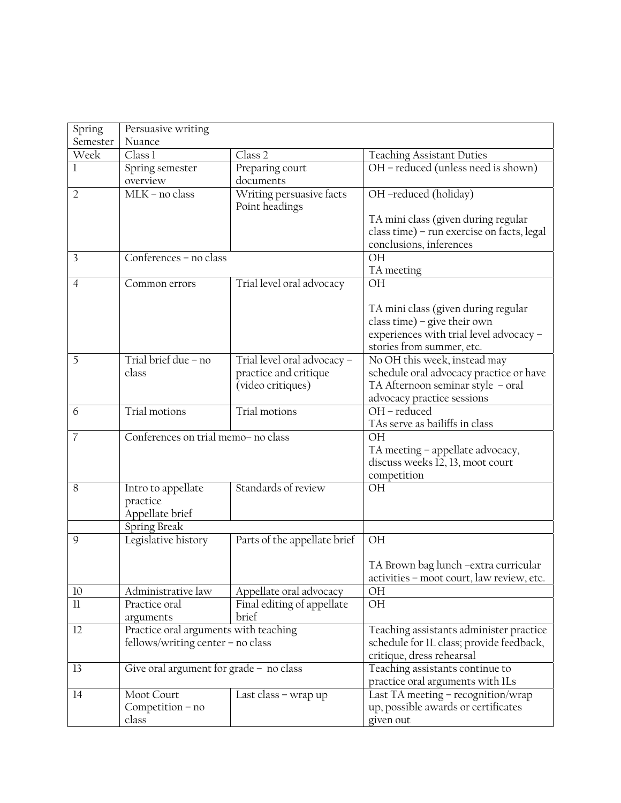| Spring         | Persuasive writing                                                         |                                                                           |                                                                                                                                             |
|----------------|----------------------------------------------------------------------------|---------------------------------------------------------------------------|---------------------------------------------------------------------------------------------------------------------------------------------|
| Semester       | Nuance                                                                     |                                                                           |                                                                                                                                             |
| Week           | Class 1                                                                    | Class 2                                                                   | <b>Teaching Assistant Duties</b>                                                                                                            |
| 1              | Spring semester<br>overview                                                | Preparing court<br>documents                                              | OH - reduced (unless need is shown)                                                                                                         |
| $\overline{2}$ | $MLK$ – no class                                                           | Writing persuasive facts<br>Point headings                                | OH -reduced (holiday)                                                                                                                       |
|                |                                                                            |                                                                           | TA mini class (given during regular<br>class time) - run exercise on facts, legal<br>conclusions, inferences                                |
| 3              | Conferences - no class                                                     |                                                                           | OH<br>TA meeting                                                                                                                            |
| $\overline{4}$ | Common errors                                                              | Trial level oral advocacy                                                 | OH                                                                                                                                          |
|                |                                                                            |                                                                           | TA mini class (given during regular<br>class time) – give their own<br>experiences with trial level advocacy -<br>stories from summer, etc. |
| 5              | Trial brief due - no<br>class                                              | Trial level oral advocacy -<br>practice and critique<br>(video critiques) | No OH this week, instead may<br>schedule oral advocacy practice or have<br>TA Afternoon seminar style - oral<br>advocacy practice sessions  |
| 6              | Trial motions                                                              | <b>Trial motions</b>                                                      | $\overline{OH - reduced}$<br>TAs serve as bailiffs in class                                                                                 |
| 7              | Conferences on trial memo- no class                                        |                                                                           | OН<br>TA meeting - appellate advocacy,<br>discuss weeks 12, 13, moot court<br>competition                                                   |
| 8              | Intro to appellate<br>practice<br>Appellate brief                          | Standards of review                                                       | OH                                                                                                                                          |
|                | Spring Break                                                               |                                                                           |                                                                                                                                             |
| 9              | Legislative history                                                        | Parts of the appellate brief                                              | OH                                                                                                                                          |
|                |                                                                            |                                                                           | TA Brown bag lunch – extra curricular<br>activities - moot court, law review, etc.                                                          |
| 10             | Administrative law                                                         | Appellate oral advocacy                                                   | OH                                                                                                                                          |
| $_{11}$        | Practice oral<br>arguments                                                 | Final editing of appellate<br>brief                                       | OH                                                                                                                                          |
| 12             | Practice oral arguments with teaching<br>fellows/writing center - no class |                                                                           | Teaching assistants administer practice<br>schedule for IL class; provide feedback,<br>critique, dress rehearsal                            |
| 13             | Give oral argument for grade - no class                                    |                                                                           | Teaching assistants continue to<br>practice oral arguments with lLs                                                                         |
| 14             | Moot Court<br>Competition - no<br>class                                    | Last class – wrap up                                                      | Last TA meeting - recognition/wrap<br>up, possible awards or certificates<br>given out                                                      |